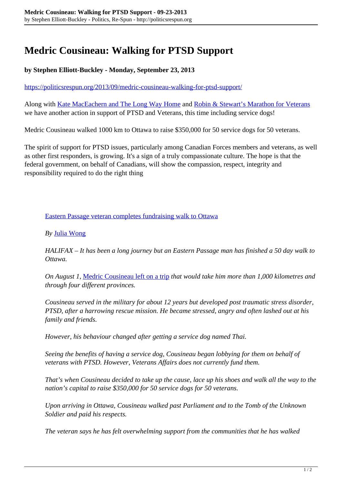## **Medric Cousineau: Walking for PTSD Support**

## **by Stephen Elliott-Buckley - Monday, September 23, 2013**

<https://politicsrespun.org/2013/09/medric-cousineau-walking-for-ptsd-support/>

Along with [Kate MacEachern and The Long Way Home](https://www.facebook.com/Thelongwayhomemm) and [Robin & Stewart's Marathon for Veterans](https://www.facebook.com/marathonforveterans) we have another action in support of PTSD and Veterans, this time including service dogs!

Medric Cousineau walked 1000 km to Ottawa to raise \$350,000 for 50 service dogs for 50 veterans.

The spirit of support for PTSD issues, particularly among Canadian Forces members and veterans, as well as other first responders, is growing. It's a sign of a truly compassionate culture. The hope is that the federal government, on behalf of Canadians, will show the compassion, respect, integrity and responsibility required to do the right thing

[Eastern Passage veteran completes fundraising walk to Ottawa](http://globalnews.ca/news/852714/eastern-passage-veteran-completes-fundraising-walk-to-ottawa/)

## *By* [Julia Wong](http://globalnews.ca/author/julia-wong/)

*HALIFAX – It has been a long journey but an Eastern Passage man has finished a 50 day walk to Ottawa.*

*On August 1,* [Medric Cousineau left on a trip](http://globalnews.ca/news/755078/man-begins-50-day-walk-to-raise-money-for-service-dogs-for-veterans-with-ptsd/) *that would take him more than 1,000 kilometres and through four different provinces.*

*Cousineau served in the military for about 12 years but developed post traumatic stress disorder, PTSD, after a harrowing rescue mission. He became stressed, angry and often lashed out at his family and friends.*

*However, his behaviour changed after getting a service dog named Thai.*

*Seeing the benefits of having a service dog, Cousineau began lobbying for them on behalf of veterans with PTSD. However, Veterans Affairs does not currently fund them.*

*That's when Cousineau decided to take up the cause, lace up his shoes and walk all the way to the nation's capital to raise \$350,000 for 50 service dogs for 50 veterans.*

*Upon arriving in Ottawa, Cousineau walked past Parliament and to the Tomb of the Unknown Soldier and paid his respects.*

*The veteran says he has felt overwhelming support from the communities that he has walked*